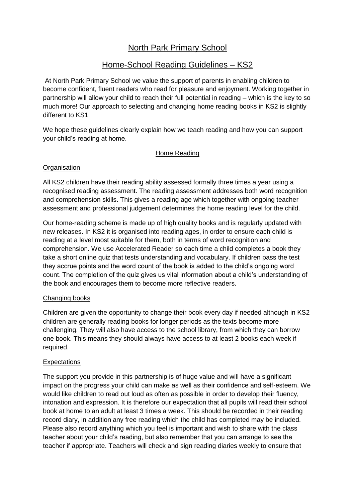# North Park Primary School

## Home-School Reading Guidelines – KS2

At North Park Primary School we value the support of parents in enabling children to become confident, fluent readers who read for pleasure and enjoyment. Working together in partnership will allow your child to reach their full potential in reading – which is the key to so much more! Our approach to selecting and changing home reading books in KS2 is slightly different to KS1.

We hope these guidelines clearly explain how we teach reading and how you can support your child's reading at home.

### Home Reading

#### **Organisation**

All KS2 children have their reading ability assessed formally three times a year using a recognised reading assessment. The reading assessment addresses both word recognition and comprehension skills. This gives a reading age which together with ongoing teacher assessment and professional judgement determines the home reading level for the child.

Our home-reading scheme is made up of high quality books and is regularly updated with new releases. In KS2 it is organised into reading ages, in order to ensure each child is reading at a level most suitable for them, both in terms of word recognition and comprehension. We use Accelerated Reader so each time a child completes a book they take a short online quiz that tests understanding and vocabulary. If children pass the test they accrue points and the word count of the book is added to the child's ongoing word count. The completion of the quiz gives us vital information about a child's understanding of the book and encourages them to become more reflective readers.

#### Changing books

Children are given the opportunity to change their book every day if needed although in KS2 children are generally reading books for longer periods as the texts become more challenging. They will also have access to the school library, from which they can borrow one book. This means they should always have access to at least 2 books each week if required.

#### **Expectations**

The support you provide in this partnership is of huge value and will have a significant impact on the progress your child can make as well as their confidence and self-esteem. We would like children to read out loud as often as possible in order to develop their fluency, intonation and expression. It is therefore our expectation that all pupils will read their school book at home to an adult at least 3 times a week. This should be recorded in their reading record diary, in addition any free reading which the child has completed may be included. Please also record anything which you feel is important and wish to share with the class teacher about your child's reading, but also remember that you can arrange to see the teacher if appropriate. Teachers will check and sign reading diaries weekly to ensure that